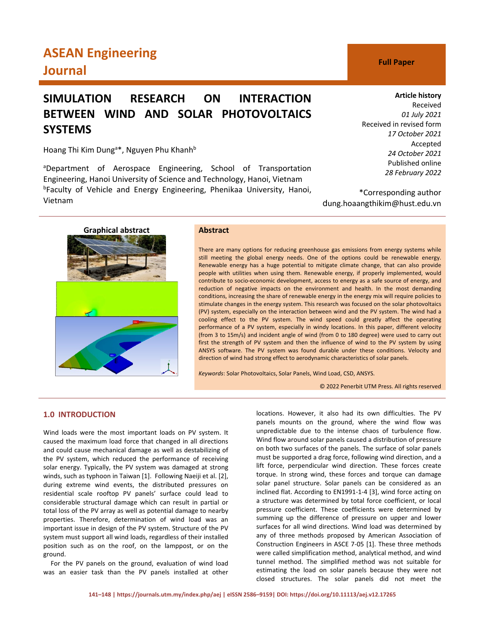# **ASEAN Engineering Journal C Full Paper**

## **SIMULATION RESEARCH ON INTERACTION BETWEEN WIND AND SOLAR PHOTOVOLTAICS SYSTEMS**

Hoang Thi Kim Dung<sup>a\*</sup>, Nguyen Phu Khanh<sup>b</sup>

<sup>a</sup>Department of Aerospace Engineering, School of Transportation Engineering, Hanoi University of Science and Technology, Hanoi, Vietnam <sup>b</sup>Faculty of Vehicle and Energy Engineering, Phenikaa University, Hanoi, Vietnam

## **Article history** Received

*01 July 2021* Received in revised form *17 October 2021* Accepted *24 October 2021* Published online *28 February 2022*

\*Corresponding author dung.hoaangthikim@hust.edu.vn



## **Graphical abstract Abstract**

There are many options for reducing greenhouse gas emissions from energy systems while still meeting the global energy needs. One of the options could be renewable energy. Renewable energy has a huge potential to mitigate climate change, that can also provide people with utilities when using them. Renewable energy, if properly implemented, would contribute to socio-economic development, access to energy as a safe source of energy, and reduction of negative impacts on the environment and health. In the most demanding conditions, increasing the share of renewable energy in the energy mix will require policies to stimulate changes in the energy system. This research was focused on the solar photovoltaics (PV) system, especially on the interaction between wind and the PV system. The wind had a cooling effect to the PV system. The wind speed could greatly affect the operating performance of a PV system, especially in windy locations. In this paper, different velocity (from 3 to 15m/s) and incident angle of wind (from 0 to 180 degree) were used to carry out first the strength of PV system and then the influence of wind to the PV system by using ANSYS software. The PV system was found durable under these conditions. Velocity and direction of wind had strong effect to aerodynamic characteristics of solar panels.

*Keywords*: Solar Photovoltaics, Solar Panels, Wind Load, CSD, ANSYS.

© 2022 Penerbit UTM Press. All rights reserved

## **1.0 INTRODUCTION**

Wind loads were the most important loads on PV system. It caused the maximum load force that changed in all directions and could cause mechanical damage as well as destabilizing of the PV system, which reduced the performance of receiving solar energy. Typically, the PV system was damaged at strong winds, such as typhoon in Taiwan [1]. Following Naeiji et al. [2], during extreme wind events, the distributed pressures on residential scale rooftop PV panels' surface could lead to considerable structural damage which can result in partial or total loss of the PV array as well as potential damage to nearby properties. Therefore, determination of wind load was an important issue in design of the PV system. Structure of the PV system must support all wind loads, regardless of their installed position such as on the roof, on the lamppost, or on the ground.

For the PV panels on the ground, evaluation of wind load was an easier task than the PV panels installed at other

locations. However, it also had its own difficulties. The PV panels mounts on the ground, where the wind flow was unpredictable due to the intense chaos of turbulence flow. Wind flow around solar panels caused a distribution of pressure on both two surfaces of the panels. The surface of solar panels must be supported a drag force, following wind direction, and a lift force, perpendicular wind direction. These forces create torque. In strong wind, these forces and torque can damage solar panel structure. Solar panels can be considered as an inclined flat. According to EN1991-1-4 [3], wind force acting on a structure was determined by total force coefficient, or local pressure coefficient. These coefficients were determined by summing up the difference of pressure on upper and lower surfaces for all wind directions. Wind load was determined by any of three methods proposed by American Association of Construction Engineers in ASCE 7-05 [1]. These three methods were called simplification method, analytical method, and wind tunnel method. The simplified method was not suitable for estimating the load on solar panels because they were not closed structures. The solar panels did not meet the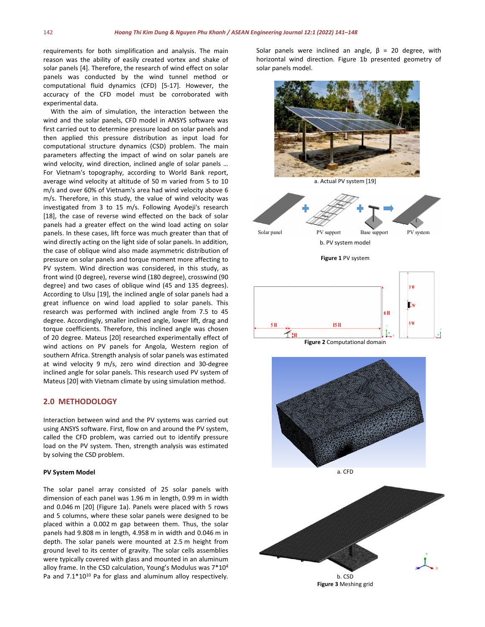requirements for both simplification and analysis. The main reason was the ability of easily created vortex and shake of solar panels [4]. Therefore, the research of wind effect on solar panels was conducted by the wind tunnel method or computational fluid dynamics (CFD) [5-17]. However, the accuracy of the CFD model must be corroborated with experimental data.

With the aim of simulation, the interaction between the wind and the solar panels, CFD model in ANSYS software was first carried out to determine pressure load on solar panels and then applied this pressure distribution as input load for computational structure dynamics (CSD) problem. The main parameters affecting the impact of wind on solar panels are wind velocity, wind direction, inclined angle of solar panels ... For Vietnam's topography, according to World Bank report, average wind velocity at altitude of 50 m varied from 5 to 10 m/s and over 60% of Vietnam's area had wind velocity above 6 m/s. Therefore, in this study, the value of wind velocity was investigated from 3 to 15 m/s. Following Ayodeji's research [18], the case of reverse wind effected on the back of solar panels had a greater effect on the wind load acting on solar panels. In these cases, lift force was much greater than that of wind directly acting on the light side of solar panels. In addition, the case of oblique wind also made asymmetric distribution of pressure on solar panels and torque moment more affecting to PV system. Wind direction was considered, in this study, as front wind (0 degree), reverse wind (180 degree), crosswind (90 degree) and two cases of oblique wind (45 and 135 degrees). According to Ulsu [19], the inclined angle of solar panels had a great influence on wind load applied to solar panels. This research was performed with inclined angle from 7.5 to 45 degree. Accordingly, smaller inclined angle, lower lift, drag and torque coefficients. Therefore, this inclined angle was chosen of 20 degree. Mateus [20] researched experimentally effect of wind actions on PV panels for Angola, Western region of southern Africa. Strength analysis of solar panels was estimated at wind velocity 9 m/s, zero wind direction and 30-degree inclined angle for solar panels. This research used PV system of Mateus [20] with Vietnam climate by using simulation method.

### **2.0 METHODOLOGY**

Interaction between wind and the PV systems was carried out using ANSYS software. First, flow on and around the PV system, called the CFD problem, was carried out to identify pressure load on the PV system. Then, strength analysis was estimated by solving the CSD problem.

#### **PV System Model**

The solar panel array consisted of 25 solar panels with dimension of each panel was 1.96 m in length, 0.99 m in width and 0.046 m [20] (Figure 1a). Panels were placed with 5 rows and 5 columns, where these solar panels were designed to be placed within a 0.002 m gap between them. Thus, the solar panels had 9.808 m in length, 4.958 m in width and 0.046 m in depth. The solar panels were mounted at 2.5 m height from ground level to its center of gravity. The solar cells assemblies were typically covered with glass and mounted in an aluminum alloy frame. In the CSD calculation, Young's Modulus was 7\*104 Pa and  $7.1*10^{10}$  Pa for glass and aluminum alloy respectively. Solar panels were inclined an angle,  $\beta$  = 20 degree, with horizontal wind direction. Figure 1b presented geometry of solar panels model.

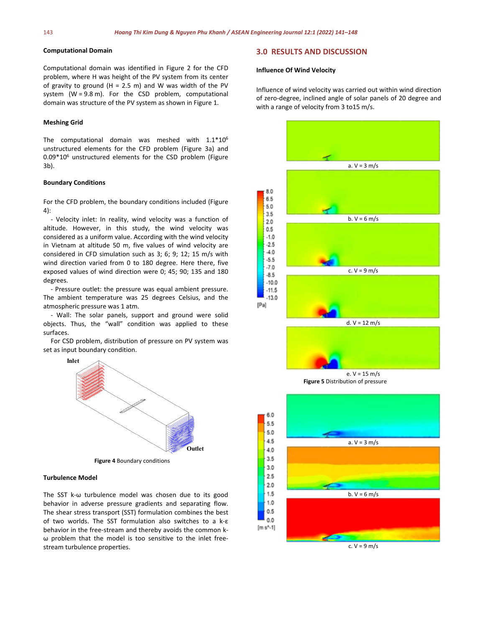#### **Computational Domain**

Computational domain was identified in Figure 2 for the CFD problem, where H was height of the PV system from its center of gravity to ground (H = 2.5 m) and W was width of the PV system (W = 9.8 m). For the CSD problem, computational domain was structure of the PV system as shown in Figure 1.

#### **Meshing Grid**

The computational domain was meshed with  $1.1*10<sup>6</sup>$ unstructured elements for the CFD problem (Figure 3a) and 0.09\*106 unstructured elements for the CSD problem (Figure 3b).

#### **Boundary Conditions**

For the CFD problem, the boundary conditions included (Figure 4):

- Velocity inlet: In reality, wind velocity was a function of altitude. However, in this study, the wind velocity was considered as a uniform value. According with the wind velocity in Vietnam at altitude 50 m, five values of wind velocity are considered in CFD simulation such as 3; 6; 9; 12; 15 m/s with wind direction varied from 0 to 180 degree. Here there, five exposed values of wind direction were 0; 45; 90; 135 and 180 degrees.

- Pressure outlet: the pressure was equal ambient pressure. The ambient temperature was 25 degrees Celsius, and the atmospheric pressure was 1 atm.

- Wall: The solar panels, support and ground were solid objects. Thus, the "wall" condition was applied to these surfaces.

For CSD problem, distribution of pressure on PV system was set as input boundary condition.



#### **Turbulence Model**

The SST k-ω turbulence model was chosen due to its good behavior in adverse pressure gradients and separating flow. The shear stress transport (SST) formulation combines the best of two worlds. The SST formulation also switches to a k-ε behavior in the free-stream and thereby avoids the common kω problem that the model is too sensitive to the inlet freestream turbulence properties.

## **3.0 RESULTS AND DISCUSSION**

#### **Influence Of Wind Velocity**

Influence of wind velocity was carried out within wind direction of zero-degree, inclined angle of solar panels of 20 degree and with a range of velocity from 3 to15 m/s.

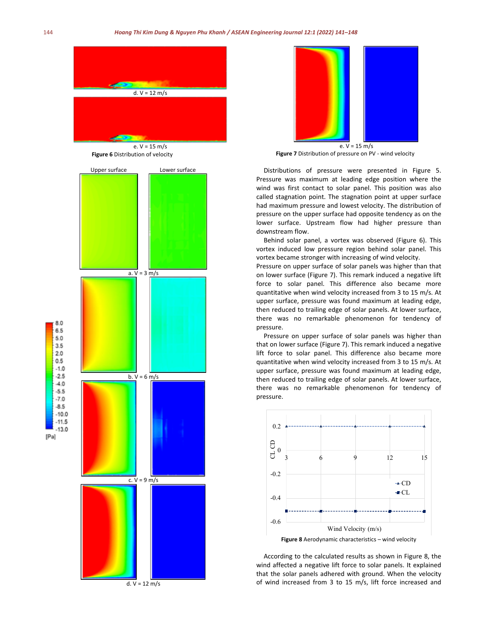

e. V = 15 m/s **Figure 6** Distribution of velocity



e. V = 15 m/s

**Figure 7** Distribution of pressure on PV - wind velocity

Distributions of pressure were presented in Figure 5. Pressure was maximum at leading edge position where the wind was first contact to solar panel. This position was also called stagnation point. The stagnation point at upper surface had maximum pressure and lowest velocity. The distribution of pressure on the upper surface had opposite tendency as on the lower surface. Upstream flow had higher pressure than downstream flow.

Behind solar panel, a vortex was observed (Figure 6). This vortex induced low pressure region behind solar panel. This vortex became stronger with increasing of wind velocity.

Pressure on upper surface of solar panels was higher than that on lower surface (Figure 7). This remark induced a negative lift force to solar panel. This difference also became more quantitative when wind velocity increased from 3 to 15 m/s. At upper surface, pressure was found maximum at leading edge, then reduced to trailing edge of solar panels. At lower surface, there was no remarkable phenomenon for tendency of pressure.

Pressure on upper surface of solar panels was higher than that on lower surface (Figure 7). This remark induced a negative lift force to solar panel. This difference also became more quantitative when wind velocity increased from 3 to 15 m/s. At upper surface, pressure was found maximum at leading edge, then reduced to trailing edge of solar panels. At lower surface, there was no remarkable phenomenon for tendency of pressure.



**Figure 8** Aerodynamic characteristics – wind velocity

According to the calculated results as shown in Figure 8, the wind affected a negative lift force to solar panels. It explained that the solar panels adhered with ground. When the velocity of wind increased from 3 to 15 m/s, lift force increased and

 $[Pa]$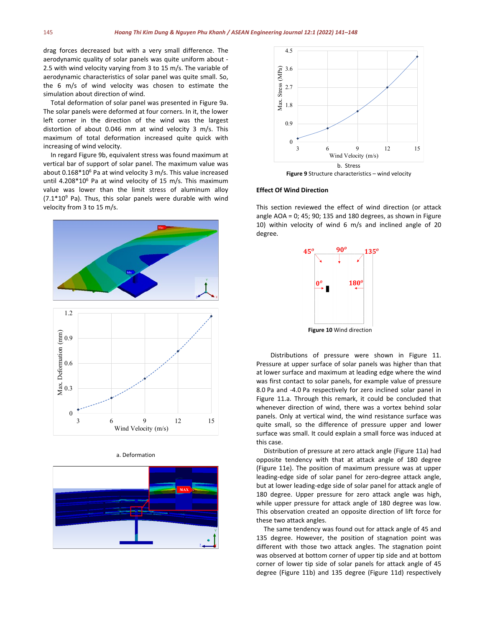drag forces decreased but with a very small difference. The aerodynamic quality of solar panels was quite uniform about - 2.5 with wind velocity varying from 3 to 15 m/s. The variable of aerodynamic characteristics of solar panel was quite small. So, the 6 m/s of wind velocity was chosen to estimate the simulation about direction of wind.

Total deformation of solar panel was presented in Figure 9a. The solar panels were deformed at four corners. In it, the lower left corner in the direction of the wind was the largest distortion of about 0.046 mm at wind velocity 3 m/s. This maximum of total deformation increased quite quick with increasing of wind velocity.

In regard Figure 9b, equivalent stress was found maximum at vertical bar of support of solar panel. The maximum value was about 0.168\*10<sup>6</sup> Pa at wind velocity 3 m/s. This value increased until 4.208\*10<sup>6</sup> Pa at wind velocity of 15 m/s. This maximum value was lower than the limit stress of aluminum alloy  $(7.1*10<sup>9</sup>$  Pa). Thus, this solar panels were durable with wind velocity from 3 to 15 m/s.



#### a. Deformation





**Figure 9** Structure characteristics – wind velocity

#### **Effect Of Wind Direction**

This section reviewed the effect of wind direction (or attack angle AOA = 0; 45; 90; 135 and 180 degrees, as shown in Figure 10) within velocity of wind 6 m/s and inclined angle of 20 degree.



Distributions of pressure were shown in Figure 11. Pressure at upper surface of solar panels was higher than that at lower surface and maximum at leading edge where the wind was first contact to solar panels, for example value of pressure 8.0 Pa and -4.0 Pa respectively for zero inclined solar panel in Figure 11.a. Through this remark, it could be concluded that whenever direction of wind, there was a vortex behind solar panels. Only at vertical wind, the wind resistance surface was quite small, so the difference of pressure upper and lower surface was small. It could explain a small force was induced at this case.

Distribution of pressure at zero attack angle (Figure 11a) had opposite tendency with that at attack angle of 180 degree (Figure 11e). The position of maximum pressure was at upper leading-edge side of solar panel for zero-degree attack angle, but at lower leading-edge side of solar panel for attack angle of 180 degree. Upper pressure for zero attack angle was high, while upper pressure for attack angle of 180 degree was low. This observation created an opposite direction of lift force for these two attack angles.

The same tendency was found out for attack angle of 45 and 135 degree. However, the position of stagnation point was different with those two attack angles. The stagnation point was observed at bottom corner of upper tip side and at bottom corner of lower tip side of solar panels for attack angle of 45 degree (Figure 11b) and 135 degree (Figure 11d) respectively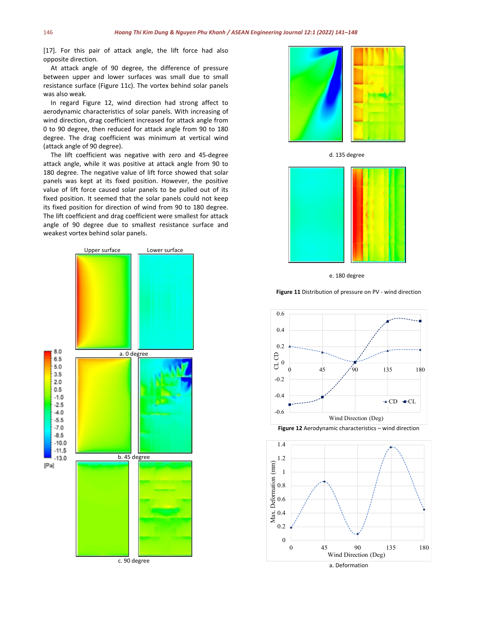[17]. For this pair of attack angle, the lift force had also opposite direction.

At attack angle of 90 degree, the difference of pressure between upper and lower surfaces was small due to small resistance surface (Figure 11c). The vortex behind solar panels was also weak.

In regard Figure 12, wind direction had strong affect to aerodynamic characteristics of solar panels. With increasing of wind direction, drag coefficient increased for attack angle from 0 to 90 degree, then reduced for attack angle from 90 to 180 degree. The drag coefficient was minimum at vertical wind (attack angle of 90 degree).

The lift coefficient was negative with zero and 45-degree attack angle, while it was positive at attack angle from 90 to 180 degree. The negative value of lift force showed that solar panels was kept at its fixed position. However, the positive value of lift force caused solar panels to be pulled out of its fixed position. It seemed that the solar panels could not keep its fixed position for direction of wind from 90 to 180 degree. The lift coefficient and drag coefficient were smallest for attack angle of 90 degree due to smallest resistance surface and weakest vortex behind solar panels.





d. 135 degree



e. 180 degree

**Figure 11** Distribution of pressure on PV - wind direction



**Figure 12** Aerodynamic characteristics – wind direction

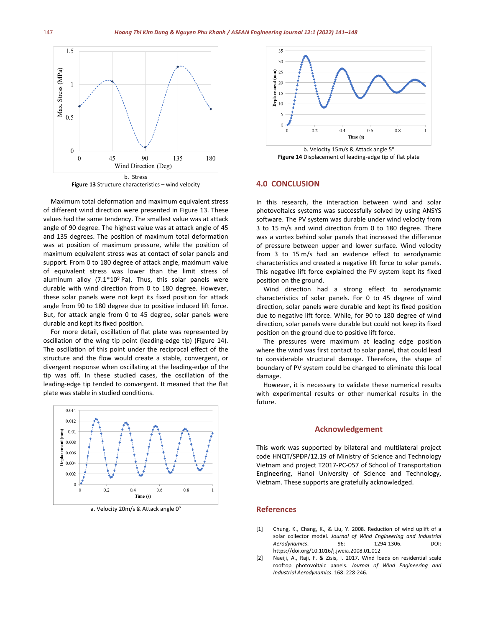

**Figure 13** Structure characteristics – wind velocity

Maximum total deformation and maximum equivalent stress of different wind direction were presented in Figure 13. These values had the same tendency. The smallest value was at attack angle of 90 degree. The highest value was at attack angle of 45 and 135 degrees. The position of maximum total deformation was at position of maximum pressure, while the position of maximum equivalent stress was at contact of solar panels and support. From 0 to 180 degree of attack angle, maximum value of equivalent stress was lower than the limit stress of aluminum alloy  $(7.1*10<sup>9</sup>$  Pa). Thus, this solar panels were durable with wind direction from 0 to 180 degree. However, these solar panels were not kept its fixed position for attack angle from 90 to 180 degree due to positive induced lift force. But, for attack angle from 0 to 45 degree, solar panels were durable and kept its fixed position.

For more detail, oscillation of flat plate was represented by oscillation of the wing tip point (leading-edge tip) (Figure 14). The oscillation of this point under the reciprocal effect of the structure and the flow would create a stable, convergent, or divergent response when oscillating at the leading-edge of the tip was off. In these studied cases, the oscillation of the leading-edge tip tended to convergent. It meaned that the flat plate was stable in studied conditions.



a. Velocity 20m/s & Attack angle 0°





#### **4.0 CONCLUSION**

In this research, the interaction between wind and solar photovoltaics systems was successfully solved by using ANSYS software. The PV system was durable under wind velocity from 3 to 15 m/s and wind direction from 0 to 180 degree. There was a vortex behind solar panels that increased the difference of pressure between upper and lower surface. Wind velocity from 3 to 15 m/s had an evidence effect to aerodynamic characteristics and created a negative lift force to solar panels. This negative lift force explained the PV system kept its fixed position on the ground.

Wind direction had a strong effect to aerodynamic characteristics of solar panels. For 0 to 45 degree of wind direction, solar panels were durable and kept its fixed position due to negative lift force. While, for 90 to 180 degree of wind direction, solar panels were durable but could not keep its fixed position on the ground due to positive lift force.

The pressures were maximum at leading edge position where the wind was first contact to solar panel, that could lead to considerable structural damage. Therefore, the shape of boundary of PV system could be changed to eliminate this local damage.

However, it is necessary to validate these numerical results with experimental results or other numerical results in the future.

#### **Acknowledgement**

This work was supported by bilateral and multilateral project code HNQT/SPĐP/12.19 of Ministry of Science and Technology Vietnam and project T2017-PC-057 of School of Transportation Engineering, Hanoi University of Science and Technology, Vietnam. These supports are gratefully acknowledged.

#### **References**

- [1] Chung, K., Chang, K., & Liu, Y. 2008. Reduction of wind uplift of a solar collector model. *Journal of Wind Engineering and Industrial Aerodynamics*. 96: 1294-1306. DOI: https://doi.org/10.1016/j.jweia.2008.01.012
- [2] Naeiji, A., Raji, F. & Zisis, I. 2017. Wind loads on residential scale rooftop photovoltaic panels. *Journal of Wind Engineering and Industrial Aerodynamics*. 168: 228-246.